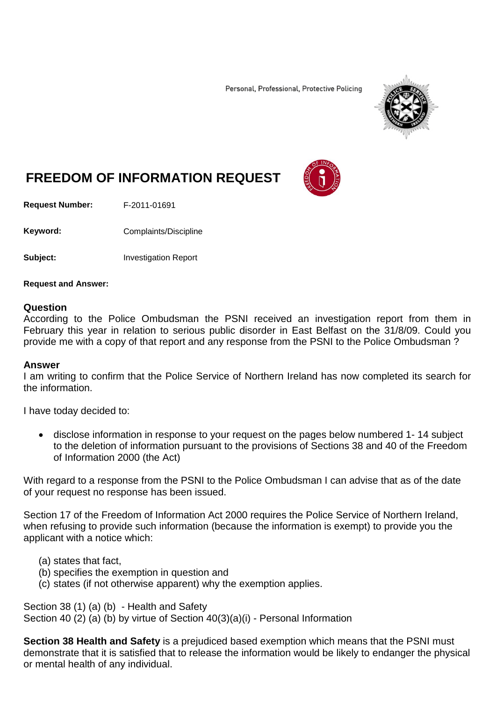Personal, Professional, Protective Policing



# **FREEDOM OF INFORMATION REQUEST**

**Request Number:** F-2011-01691

Keyword: Complaints/Discipline

**Subject:** Investigation Report

**Request and Answer:**

#### **Question**

According to the Police Ombudsman the PSNI received an investigation report from them in February this year in relation to serious public disorder in East Belfast on the 31/8/09. Could you provide me with a copy of that report and any response from the PSNI to the Police Ombudsman ?

#### **Answer**

I am writing to confirm that the Police Service of Northern Ireland has now completed its search for the information.

I have today decided to:

• disclose information in response to your request on the pages below numbered 1- 14 subject to the deletion of information pursuant to the provisions of Sections 38 and 40 of the Freedom of Information 2000 (the Act)

With regard to a response from the PSNI to the Police Ombudsman I can advise that as of the date of your request no response has been issued.

Section 17 of the Freedom of Information Act 2000 requires the Police Service of Northern Ireland, when refusing to provide such information (because the information is exempt) to provide you the applicant with a notice which:

- (a) states that fact,
- (b) specifies the exemption in question and
- (c) states (if not otherwise apparent) why the exemption applies.

Section 38 (1) (a) (b) - Health and Safety Section 40 (2) (a) (b) by virtue of Section 40(3)(a)(i) - Personal Information

**Section 38 Health and Safety** is a prejudiced based exemption which means that the PSNI must demonstrate that it is satisfied that to release the information would be likely to endanger the physical or mental health of any individual.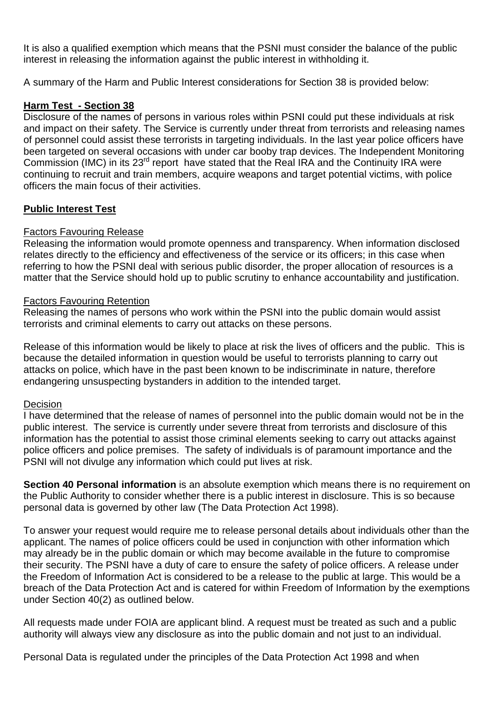It is also a qualified exemption which means that the PSNI must consider the balance of the public interest in releasing the information against the public interest in withholding it.

A summary of the Harm and Public Interest considerations for Section 38 is provided below:

### **Harm Test - Section 38**

Disclosure of the names of persons in various roles within PSNI could put these individuals at risk and impact on their safety. The Service is currently under threat from terrorists and releasing names of personnel could assist these terrorists in targeting individuals. In the last year police officers have been targeted on several occasions with under car booby trap devices. The Independent Monitoring Commission (IMC) in its 23<sup>rd</sup> report have stated that the Real IRA and the Continuity IRA were continuing to recruit and train members, acquire weapons and target potential victims, with police officers the main focus of their activities.

### **Public Interest Test**

### Factors Favouring Release

Releasing the information would promote openness and transparency. When information disclosed relates directly to the efficiency and effectiveness of the service or its officers; in this case when referring to how the PSNI deal with serious public disorder, the proper allocation of resources is a matter that the Service should hold up to public scrutiny to enhance accountability and justification.

### Factors Favouring Retention

Releasing the names of persons who work within the PSNI into the public domain would assist terrorists and criminal elements to carry out attacks on these persons.

Release of this information would be likely to place at risk the lives of officers and the public. This is because the detailed information in question would be useful to terrorists planning to carry out attacks on police, which have in the past been known to be indiscriminate in nature, therefore endangering unsuspecting bystanders in addition to the intended target.

### Decision

I have determined that the release of names of personnel into the public domain would not be in the public interest. The service is currently under severe threat from terrorists and disclosure of this information has the potential to assist those criminal elements seeking to carry out attacks against police officers and police premises. The safety of individuals is of paramount importance and the PSNI will not divulge any information which could put lives at risk.

**Section 40 Personal information** is an absolute exemption which means there is no requirement on the Public Authority to consider whether there is a public interest in disclosure. This is so because personal data is governed by other law (The Data Protection Act 1998).

To answer your request would require me to release personal details about individuals other than the applicant. The names of police officers could be used in conjunction with other information which may already be in the public domain or which may become available in the future to compromise their security. The PSNI have a duty of care to ensure the safety of police officers. A release under the Freedom of Information Act is considered to be a release to the public at large. This would be a breach of the Data Protection Act and is catered for within Freedom of Information by the exemptions under Section 40(2) as outlined below.

All requests made under FOIA are applicant blind. A request must be treated as such and a public authority will always view any disclosure as into the public domain and not just to an individual.

Personal Data is regulated under the principles of the Data Protection Act 1998 and when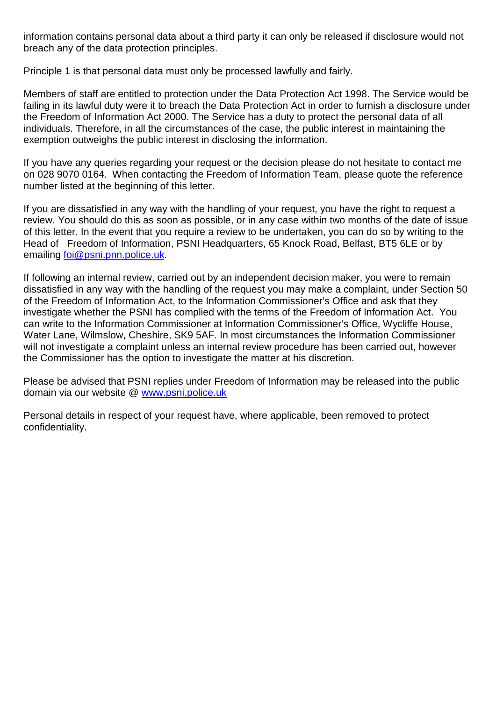information contains personal data about a third party it can only be released if disclosure would not breach any of the data protection principles.

Principle 1 is that personal data must only be processed lawfully and fairly.

Members of staff are entitled to protection under the Data Protection Act 1998. The Service would be failing in its lawful duty were it to breach the Data Protection Act in order to furnish a disclosure under the Freedom of Information Act 2000. The Service has a duty to protect the personal data of all individuals. Therefore, in all the circumstances of the case, the public interest in maintaining the exemption outweighs the public interest in disclosing the information.

If you have any queries regarding your request or the decision please do not hesitate to contact me on 028 9070 0164. When contacting the Freedom of Information Team, please quote the reference number listed at the beginning of this letter.

If you are dissatisfied in any way with the handling of your request, you have the right to request a review. You should do this as soon as possible, or in any case within two months of the date of issue of this letter. In the event that you require a review to be undertaken, you can do so by writing to the Head of Freedom of Information, PSNI Headquarters, 65 Knock Road, Belfast, BT5 6LE or by emailing [foi@psni.pnn.police.uk.](mailto:foi@psni.pnn.police.uk)

If following an internal review, carried out by an independent decision maker, you were to remain dissatisfied in any way with the handling of the request you may make a complaint, under Section 50 of the Freedom of Information Act, to the Information Commissioner's Office and ask that they investigate whether the PSNI has complied with the terms of the Freedom of Information Act. You can write to the Information Commissioner at Information Commissioner's Office, Wycliffe House, Water Lane, Wilmslow, Cheshire, SK9 5AF. In most circumstances the Information Commissioner will not investigate a complaint unless an internal review procedure has been carried out, however the Commissioner has the option to investigate the matter at his discretion.

Please be advised that PSNI replies under Freedom of Information may be released into the public domain via our website @ [www.psni.police.uk](http://www.psni.police.uk/)

Personal details in respect of your request have, where applicable, been removed to protect confidentiality.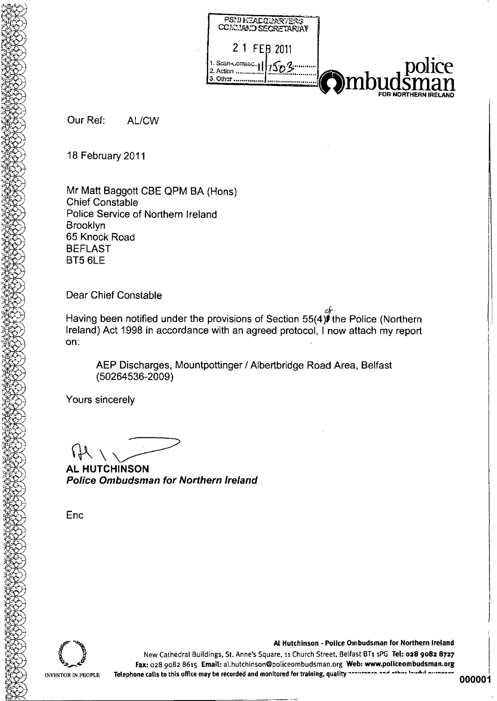

Our Ref: AL/CW

18 February 2011

Mr Matt Baggott CBE QPM BA (Hons) **Chief Constable** Police Service of Northern Ireland **Brooklyn** 65 Knock Road **BEFLAST** BT5 6LE

**Dear Chief Constable** 

Having been notified under the provisions of Section 55(4) the Police (Northern Ireland) Act 1998 in accordance with an agreed protocol, I now attach my report on:

AEP Discharges, Mountpottinger / Albertbridge Road Area, Belfast (50264536-2009)

Yours sincerely

**AL HUTCHINSON Police Ombudsman for Northern Ireland** 

Enc



New Cathedral Buildings, St. Anne's Square, 11 Church Street, Belfast BT1 1PG Tel: 028 9082 8727 Fax: 028 9082 8615 Email: al.hutchinson@policeombudsman.org Web: www.policeombudsman.org Telephone calis to this office may be recorded and monitored for training, quality accurance and other lawful purposes

Al Hutchinson - Police Ombudsman for Northern Ireland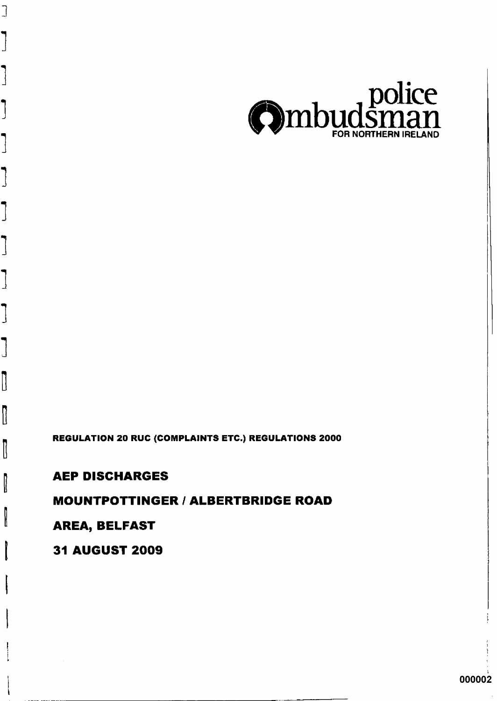# **31 AUGUST 2009**

# **AREA, BELFAST**

# **MOUNTPOTTINGER / ALBERTBRIDGE ROAD**

# **AEP DISCHARGES**

 $\begin{array}{c} \hline \end{array}$ 

 $\mathbb{I}$ 

I

 $\mathbb I$ 

I

I

REGULATION 20 RUC (COMPLAINTS ETC.) REGULATIONS 2000

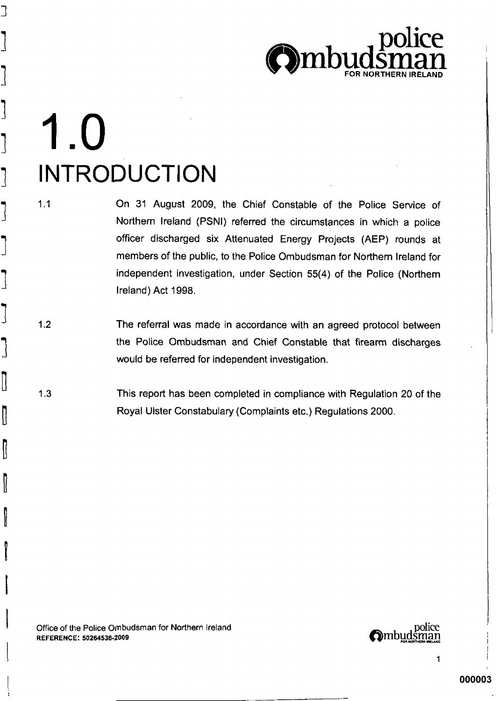

# 1.0 **INTRODUCTION**

 $1.1$ 

∃

B

On 31 August 2009, the Chief Constable of the Police Service of Northern Ireland (PSNI) referred the circumstances in which a police officer discharged six Attenuated Energy Projects (AEP) rounds at members of the public, to the Police Ombudsman for Northern Ireland for independent investigation, under Section 55(4) of the Police (Northern Ireland) Act 1998.

- $1.2$ The referral was made in accordance with an agreed protocol between the Police Ombudsman and Chief Constable that firearm discharges would be referred for independent investigation.
- $1.3$ This report has been completed in compliance with Regulation 20 of the Royal Ulster Constabulary (Complaints etc.) Regulations 2000.

Office of the Police Ombudsman for Northern Ireland REFERENCE: 50264536-2009

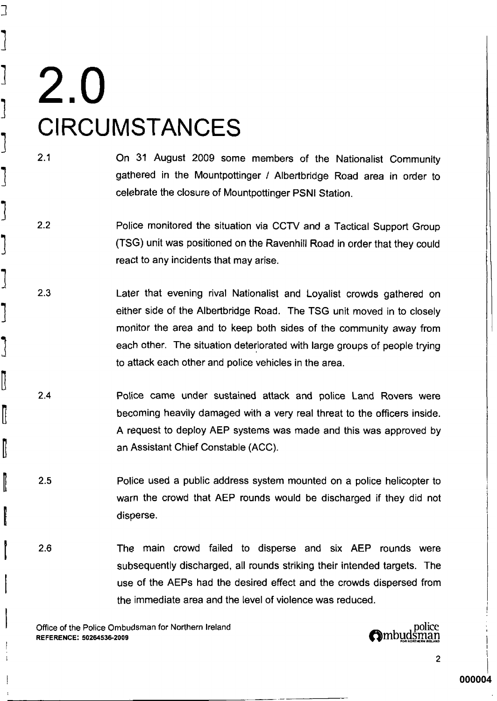コ

׀<br>׀

I

B

ľ

On 31 August 2009 some members of the Nationalist Community gathered in the Mountpottinger / Albertbridge Road area in order to celebrate the closure of Mountpottinger PSNI Station.

- $2.2$ Police monitored the situation via CCTV and a Tactical Support Group (TSG) unit was positioned on the Ravenhill Road in order that they could react to any incidents that may arise.
- $2.3$ Later that evening rival Nationalist and Loyalist crowds gathered on either side of the Albertbridge Road. The TSG unit moved in to closely monitor the area and to keep both sides of the community away from each other. The situation deteriorated with large groups of people trying to attack each other and police vehicles in the area.
- $2.4$ Police came under sustained attack and police Land Rovers were becoming heavily damaged with a very real threat to the officers inside. A request to deploy AEP systems was made and this was approved by an Assistant Chief Constable (ACC).
- $2.5$ Police used a public address system mounted on a police helicopter to warn the crowd that AEP rounds would be discharged if they did not disperse.
- 2.6 The main crowd failed to disperse and six AEP rounds were subsequently discharged, all rounds striking their intended targets. The use of the AEPs had the desired effect and the crowds dispersed from the immediate area and the level of violence was reduced.

Office of the Police Ombudsman for Northern Ireland REFERENCE: 50264536-2009



 $\overline{2}$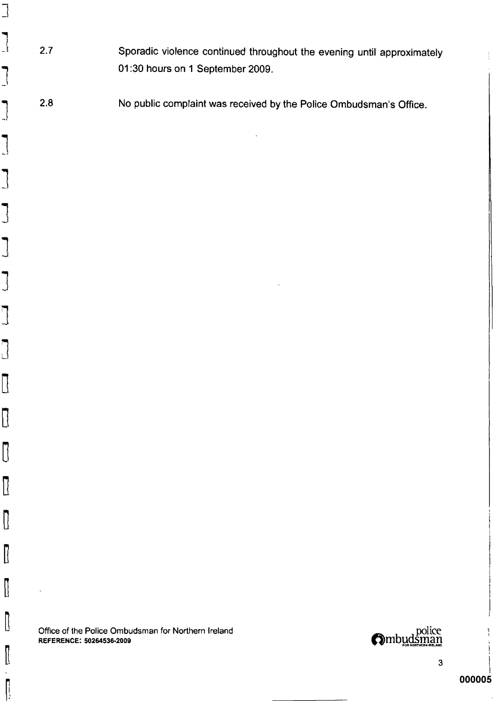- Sporadic violence continued throughout the evening until approximately  $2.7$ 01:30 hours on 1 September 2009.
- No public complaint was received by the Police Ombudsman's Office.  $2.8$

Office of the Police Ombudsman for Northern Ireland **REFERENCE: 50264536-2009** 



 $\mathbf{3}$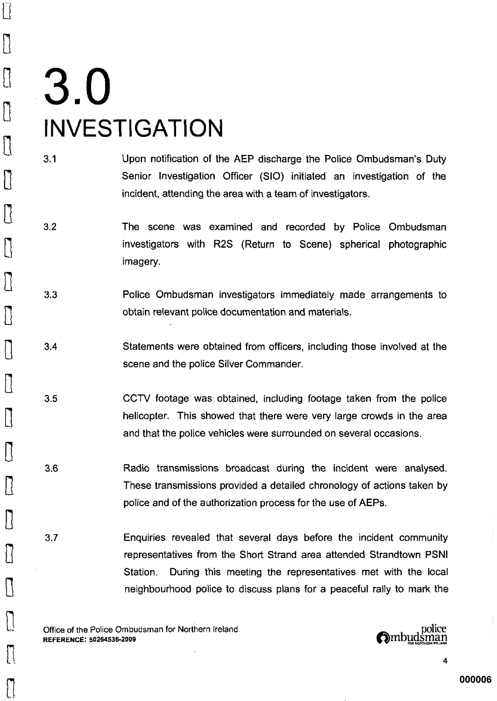# 3.0 **INVESTIGATION**

 $\prod$ 

 $\begin{bmatrix} 7 \ 1 \end{bmatrix}$ 

0

 $\prod_{i=1}^n$ 

 $\prod\limits_{i=1}^{n}$ 

 $\vert \}$ 

 $\mathcal{U}% _{0}\left( t\right)$ 

 $\lceil \, \rceil$ 

 $[]$ 

 $\vert \vert$ 

- $3.1$ Upon notification of the AEP discharge the Police Ombudsman's Duty Senior Investigation Officer (SIO) initiated an investigation of the incident, attending the area with a team of investigators.
- $3.2$ The scene was examined and recorded by Police Ombudsman investigators with R2S (Return to Scene) spherical photographic imagery.
- $3.3$ Police Ombudsman investigators immediately made arrangements to obtain relevant police documentation and materials.
- Statements were obtained from officers, including those involved at the  $3.4$ scene and the police Silver Commander.
- $3.5$ CCTV footage was obtained, including footage taken from the police helicopter. This showed that there were very large crowds in the area and that the police vehicles were surrounded on several occasions.
- $3.6$ Radio transmissions broadcast during the incident were analysed. These transmissions provided a detailed chronology of actions taken by police and of the authorization process for the use of AEPs.
- $3.7$ Enquiries revealed that several days before the incident community representatives from the Short Strand area attended Strandtown PSNI During this meeting the representatives met with the local Station. neighbourhood police to discuss plans for a peaceful rally to mark the

Office of the Police Ombudsman for Northern Ireland REFERENCE: 50264536-2009

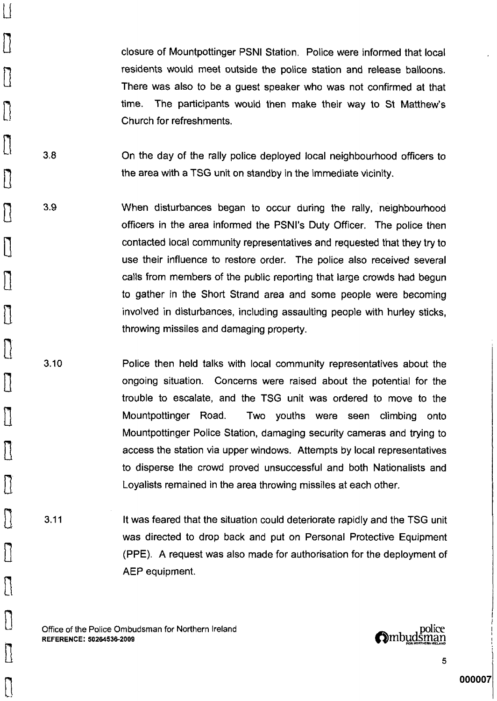closure of Mountpottinger PSNI Station. Police were informed that local residents would meet outside the police station and release balloons. There was also to be a quest speaker who was not confirmed at that time. The participants would then make their way to St Matthew's Church for refreshments.

 $3.8$ On the day of the rally police deployed local neighbourhood officers to the area with a TSG unit on standby in the immediate vicinity.

- 3.9 When disturbances began to occur during the rally, neighbourhood officers in the area informed the PSNI's Duty Officer. The police then contacted local community representatives and requested that they try to use their influence to restore order. The police also received several calls from members of the public reporting that large crowds had begun to gather in the Short Strand area and some people were becoming involved in disturbances, including assaulting people with hurley sticks, throwing missiles and damaging property.
	- $3.10$ Police then held talks with local community representatives about the ongoing situation. Concerns were raised about the potential for the trouble to escalate, and the TSG unit was ordered to move to the Mountpottinger Road. Two youths were seen climbing onto Mountpottinger Police Station, damaging security cameras and trying to access the station via upper windows. Attempts by local representatives to disperse the crowd proved unsuccessful and both Nationalists and Loyalists remained in the area throwing missiles at each other.
- $3.11$ It was feared that the situation could deteriorate rapidly and the TSG unit was directed to drop back and put on Personal Protective Equipment (PPE). A request was also made for authorisation for the deployment of AEP equipment.

Office of the Police Ombudsman for Northern Ireland REFERENCE: 50264536-2009

 $\mathop{\textstyle\bigcup}%$ 

 $\bigcup$ 

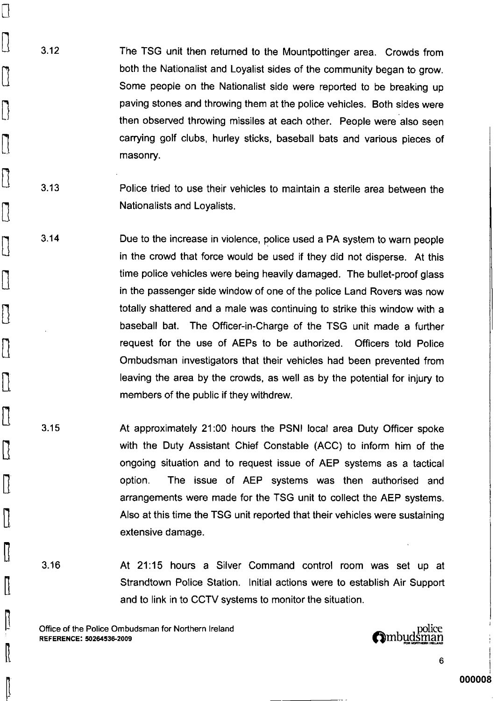$3.12$ The TSG unit then returned to the Mountpottinger area. Crowds from both the Nationalist and Loyalist sides of the community began to grow. Some people on the Nationalist side were reported to be breaking up paving stones and throwing them at the police vehicles. Both sides were then observed throwing missiles at each other. People were also seen carrying golf clubs, hurley sticks, baseball bats and various pieces of masonry.

- $3.13$ Police tried to use their vehicles to maintain a sterile area between the Nationalists and Loyalists.
- $3.14$ Due to the increase in violence, police used a PA system to warn people in the crowd that force would be used if they did not disperse. At this time police vehicles were being heavily damaged. The bullet-proof glass in the passenger side window of one of the police Land Rovers was now totally shattered and a male was continuing to strike this window with a baseball bat. The Officer-in-Charge of the TSG unit made a further request for the use of AEPs to be authorized. Officers told Police Ombudsman investigators that their vehicles had been prevented from leaving the area by the crowds, as well as by the potential for injury to members of the public if they withdrew.
- $3.15$ At approximately 21:00 hours the PSNI local area Duty Officer spoke with the Duty Assistant Chief Constable (ACC) to inform him of the ongoing situation and to request issue of AEP systems as a tactical The issue of AEP systems was then authorised and option. arrangements were made for the TSG unit to collect the AEP systems. Also at this time the TSG unit reported that their vehicles were sustaining extensive damage.
- $3.16$

U

 $\vert \vert$ 

 $\left[\right]$ 

 $\vert$  {

 $\mathbb I$ 

 $\mathfrak l$ 

ll

At 21:15 hours a Silver Command control room was set up at Strandtown Police Station. Initial actions were to establish Air Support and to link in to CCTV systems to monitor the situation.

Office of the Police Ombudsman for Northern Ireland REFERENCE: 50264536-2009

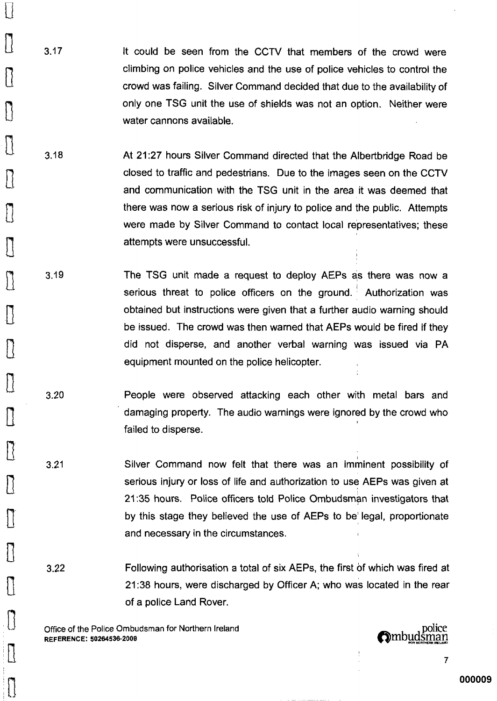- $3.17$ It could be seen from the CCTV that members of the crowd were climbing on police vehicles and the use of police vehicles to control the crowd was failing. Silver Command decided that due to the availability of only one TSG unit the use of shields was not an option. Neither were water cannons available.
- $3.18$ At 21:27 hours Silver Command directed that the Albertbridge Road be closed to traffic and pedestrians. Due to the images seen on the CCTV and communication with the TSG unit in the area it was deemed that there was now a serious risk of injury to police and the public. Attempts were made by Silver Command to contact local representatives; these attempts were unsuccessful.
- 3.19 The TSG unit made a request to deploy AEPs as there was now a serious threat to police officers on the ground. Authorization was obtained but instructions were given that a further audio warning should be issued. The crowd was then warned that AEPs would be fired if they did not disperse, and another verbal warning was issued via PA equipment mounted on the police helicopter.
	- 3.20 People were observed attacking each other with metal bars and damaging property. The audio warnings were ignored by the crowd who failed to disperse.
	- $3.21$ Silver Command now felt that there was an imminent possibility of serious injury or loss of life and authorization to use AEPs was given at 21:35 hours. Police officers told Police Ombudsman investigators that by this stage they believed the use of AEPs to be legal, proportionate and necessary in the circumstances.
	- Following authorisation a total of six AEPs, the first of which was fired at  $3.22$ 21:38 hours, were discharged by Officer A; who was located in the rear of a police Land Rover.

Office of the Police Ombudsman for Northern Ireland REFERENCE: 50264536-2009

 $\{\, \}$ 

 $\vert \vert$ 

 $\left| \right\rangle$ 

police<br>**Ombud**sman

 $\overline{I}$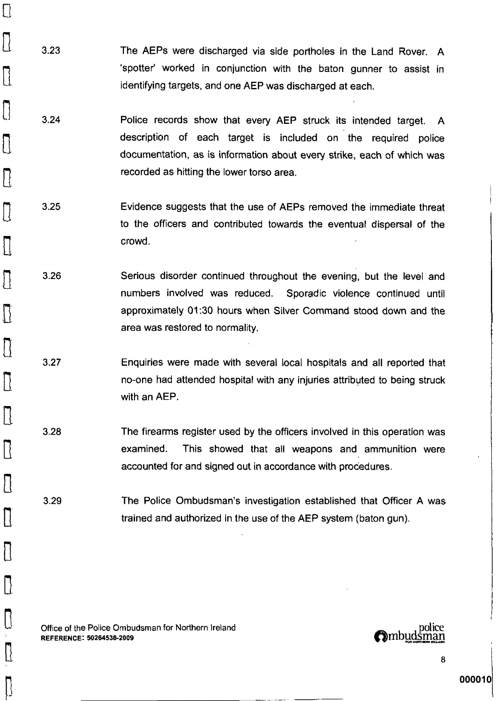$3.23$ The AEPs were discharged via side portholes in the Land Rover. A 'spotter' worked in conjunction with the baton gunner to assist in identifying targets, and one AEP was discharged at each.

 $\prod$ 

 $\vert$   $\vert$ 

 $\prod$ 

 $\prod\limits_{i=1}^n$ 

 $\mathcal{I}$ 

 $\lvert \, \rvert$ 

Н

- $3.24$ Police records show that every AEP struck its intended target. A description of each target is included on the required police documentation, as is information about every strike, each of which was recorded as hitting the lower torso area.
- $3.25$ Evidence suggests that the use of AEPs removed the immediate threat to the officers and contributed towards the eventual dispersal of the crowd.
- 3.26 Serious disorder continued throughout the evening, but the level and numbers involved was reduced. Sporadic violence continued until approximately 01:30 hours when Silver Command stood down and the area was restored to normality.
	- $3.27$ Enquiries were made with several local hospitals and all reported that no-one had attended hospital with any injuries attributed to being struck with an AEP.
- $3.28$ The firearms register used by the officers involved in this operation was examined. This showed that all weapons and ammunition were accounted for and signed out in accordance with procedures.

The Police Ombudsman's investigation established that Officer A was 3.29 trained and authorized in the use of the AEP system (baton qun).

Office of the Police Ombudsman for Northern Ireland REFERENCE: 50264536-2009

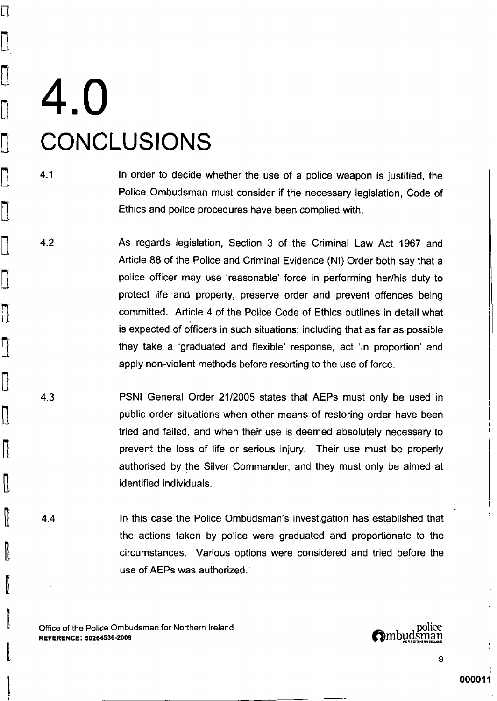# 4.0 **CONCLUSIONS**

Π

 $\overline{\mathbb{D}}$ 

 $\prod_{i=1}^n$ 

0

- $4.1$ In order to decide whether the use of a police weapon is justified, the Police Ombudsman must consider if the necessary legislation. Code of Ethics and police procedures have been complied with.
- $4.2$ As regards legislation, Section 3 of the Criminal Law Act 1967 and Article 88 of the Police and Criminal Evidence (NI) Order both say that a police officer may use 'reasonable' force in performing her/his duty to protect life and property, preserve order and prevent offences being committed. Article 4 of the Police Code of Ethics outlines in detail what is expected of officers in such situations; including that as far as possible they take a 'graduated and flexible' response, act 'in proportion' and apply non-violent methods before resorting to the use of force.
- $4.3$ PSNI General Order 21/2005 states that AEPs must only be used in public order situations when other means of restoring order have been tried and failed, and when their use is deemed absolutely necessary to prevent the loss of life or serious injury. Their use must be properly authorised by the Silver Commander, and they must only be aimed at identified individuals.
- In this case the Police Ombudsman's investigation has established that  $4.4$ the actions taken by police were graduated and proportionate to the circumstances. Various options were considered and tried before the use of AEPs was authorized.

Office of the Police Ombudsman for Northern Ireland REFERENCE: 50264536-2009

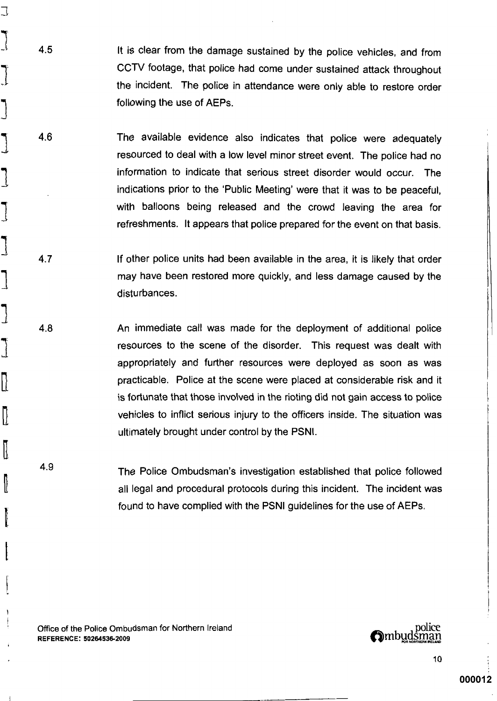It is clear from the damage sustained by the police vehicles, and from CCTV footage, that police had come under sustained attack throughout the incident. The police in attendance were only able to restore order following the use of AEPs.

4.6 The available evidence also indicates that police were adequately resourced to deal with a low level minor street event. The police had no information to indicate that serious street disorder would occur. The indications prior to the 'Public Meeting' were that it was to be peaceful. with balloons being released and the crowd leaving the area for refreshments. It appears that police prepared for the event on that basis.

If other police units had been available in the area, it is likely that order  $4.7$ may have been restored more quickly, and less damage caused by the disturbances.

4.8 An immediate call was made for the deployment of additional police resources to the scene of the disorder. This request was dealt with appropriately and further resources were deployed as soon as was practicable. Police at the scene were placed at considerable risk and it is fortunate that those involved in the rioting did not gain access to police vehicles to inflict serious injury to the officers inside. The situation was ultimately brought under control by the PSNI.

4.9 The Police Ombudsman's investigation established that police followed all legal and procedural protocols during this incident. The incident was found to have complied with the PSNI guidelines for the use of AEPs.

Office of the Police Ombudsman for Northern Ireland REFERENCE: 50264536-2009

J

I

I

 $4.5$ 

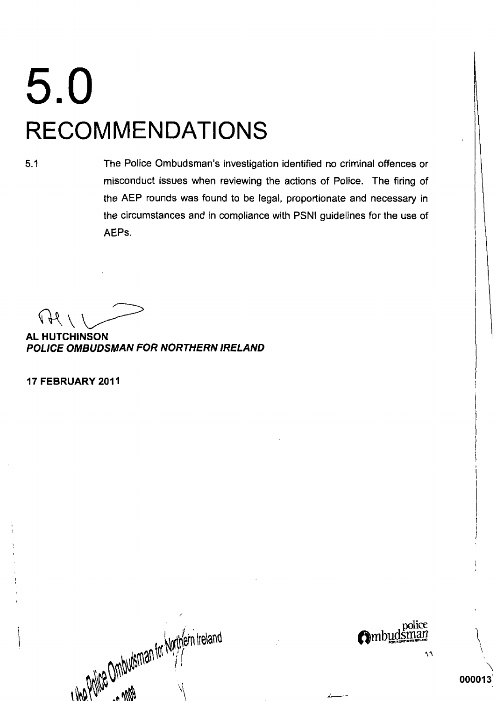# 5.0 **RECOMMENDATIONS**

 $5.1$ 

The Police Ombudsman's investigation identified no criminal offences or misconduct issues when reviewing the actions of Police. The firing of the AEP rounds was found to be legal, proportionate and necessary in the circumstances and in compliance with PSNI guidelines for the use of AEPs.

 $44$ 

**AL HUTCHINSON** POLICE OMBUDSMAN FOR NORTHERN IRELAND

17 FEBRUARY 2011

I the Philce Ombutsman for Northern Ireland